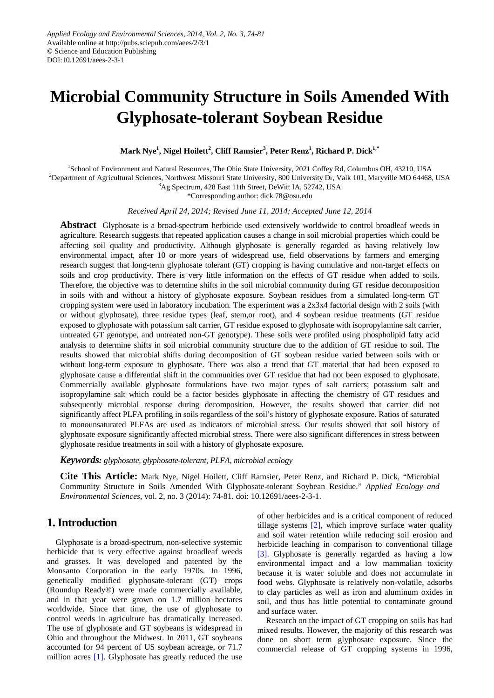# **Microbial Community Structure in Soils Amended With Glyphosate-tolerant Soybean Residue**

**Mark Nye<sup>1</sup> , Nigel Hoilett<sup>2</sup> , Cliff Ramsier<sup>3</sup> , Peter Renz<sup>1</sup> , Richard P. Dick1,\***

<sup>1</sup>School of Environment and Natural Resources, The Ohio State University, 2021 Coffey Rd, Columbus OH, 43210, USA

2 Department of Agricultural Sciences, Northwest Missouri State University, 800 University Dr, Valk 101, Maryville MO 64468, USA

3 Ag Spectrum, 428 East 11th Street, DeWitt IA, 52742, USA

\*Corresponding author: dick.78@osu.edu

*Received April 24, 2014; Revised June 11, 2014; Accepted June 12, 2014*

**Abstract** Glyphosate is a broad-spectrum herbicide used extensively worldwide to control broadleaf weeds in agriculture. Research suggests that repeated application causes a change in soil microbial properties which could be affecting soil quality and productivity. Although glyphosate is generally regarded as having relatively low environmental impact, after 10 or more years of widespread use, field observations by farmers and emerging research suggest that long-term glyphosate tolerant (GT) cropping is having cumulative and non-target effects on soils and crop productivity. There is very little information on the effects of GT residue when added to soils. Therefore, the objective was to determine shifts in the soil microbial community during GT residue decomposition in soils with and without a history of glyphosate exposure. Soybean residues from a simulated long-term GT cropping system were used in laboratory incubation. The experiment was a 2x3x4 factorial design with 2 soils (with or without glyphosate), three residue types (leaf, stem,or root), and 4 soybean residue treatments (GT residue exposed to glyphosate with potassium salt carrier, GT residue exposed to glyphosate with isopropylamine salt carrier, untreated GT genotype, and untreated non-GT genotype). These soils were profiled using phospholipid fatty acid analysis to determine shifts in soil microbial community structure due to the addition of GT residue to soil. The results showed that microbial shifts during decomposition of GT soybean residue varied between soils with or without long-term exposure to glyphosate. There was also a trend that GT material that had been exposed to glyphosate cause a differential shift in the communities over GT residue that had not been exposed to glyphosate. Commercially available glyphosate formulations have two major types of salt carriers; potassium salt and isopropylamine salt which could be a factor besides glyphosate in affecting the chemistry of GT residues and subsequently microbial response during decomposition. However, the results showed that carrier did not significantly affect PLFA profiling in soils regardless of the soil's history of glyphosate exposure. Ratios of saturated to monounsaturated PLFAs are used as indicators of microbial stress. Our results showed that soil history of glyphosate exposure significantly affected microbial stress. There were also significant differences in stress between glyphosate residue treatments in soil with a history of glyphosate exposure.

*Keywords: glyphosate, glyphosate-tolerant, PLFA, microbial ecology*

**Cite This Article:** Mark Nye, Nigel Hoilett, Cliff Ramsier, Peter Renz, and Richard P. Dick, "Microbial Community Structure in Soils Amended With Glyphosate-tolerant Soybean Residue." *Applied Ecology and Environmental Sciences*, vol. 2, no. 3 (2014): 74-81. doi: 10.12691/aees-2-3-1.

# **1. Introduction**

Glyphosate is a broad-spectrum, non-selective systemic herbicide that is very effective against broadleaf weeds and grasses. It was developed and patented by the Monsanto Corporation in the early 1970s. In 1996, genetically modified glyphosate-tolerant (GT) crops (Roundup Ready®) were made commercially available, and in that year were grown on 1.7 million hectares worldwide. Since that time, the use of glyphosate to control weeds in agriculture has dramatically increased. The use of glyphosate and GT soybeans is widespread in Ohio and throughout the Midwest. In 2011, GT soybeans accounted for 94 percent of US soybean acreage, or 71.7 million acres [\[1\].](#page-7-0) Glyphosate has greatly reduced the use

of other herbicides and is a critical component of reduced tillage systems [\[2\],](#page-7-1) which improve surface water quality and soil water retention while reducing soil erosion and herbicide leaching in comparison to conventional tillage [\[3\].](#page-7-2) Glyphosate is generally regarded as having a low environmental impact and a low mammalian toxicity because it is water soluble and does not accumulate in food webs. Glyphosate is relatively non-volatile, adsorbs to clay particles as well as iron and aluminum oxides in soil, and thus has little potential to contaminate ground and surface water.

Research on the impact of GT cropping on soils has had mixed results. However, the majority of this research was done on short term glyphosate exposure. Since the commercial release of GT cropping systems in 1996,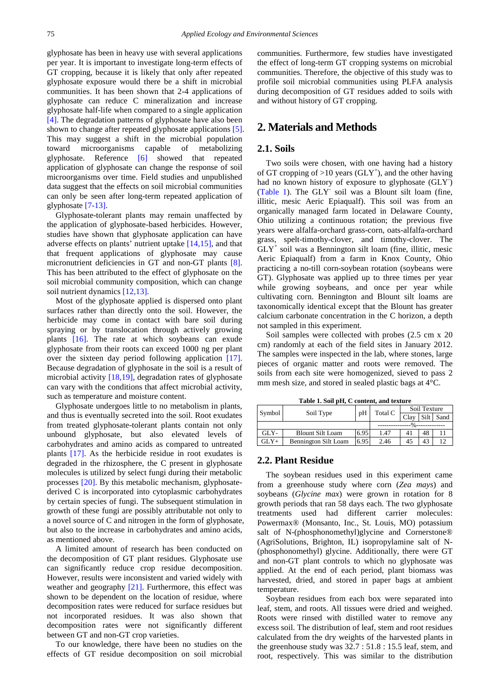glyphosate has been in heavy use with several applications per year. It is important to investigate long-term effects of GT cropping, because it is likely that only after repeated glyphosate exposure would there be a shift in microbial communities. It has been shown that 2-4 applications of glyphosate can reduce C mineralization and increase glyphosate half-life when compared to a single application [\[4\].](#page-7-3) The degradation patterns of glyphosate have also been shown to change after repeated glyphosate applications [\[5\].](#page-7-4) This may suggest a shift in the microbial population toward microorganisms capable of metabolizing glyphosate. Reference [\[6\]](#page-7-5) showed that repeated application of glyphosate can change the response of soil microorganisms over time. Field studies and unpublished data suggest that the effects on soil microbial communities can only be seen after long-term repeated application of glyphosate [\[7-13\].](#page-7-6)

Glyphosate-tolerant plants may remain unaffected by the application of glyphosate-based herbicides. However, studies have shown that glyphosate application can have adverse effects on plants' nutrient uptake [\[14,15\],](#page-7-7) and that that frequent applications of glyphosate may cause micronutrient deficiencies in GT and non-GT plants [\[8\].](#page-7-8) This has been attributed to the effect of glyphosate on the soil microbial community composition, which can change soil nutrient dynamics [\[12,13\].](#page-7-9)

Most of the glyphosate applied is dispersed onto plant surfaces rather than directly onto the soil. However, the herbicide may come in contact with bare soil during spraying or by translocation through actively growing plants [\[16\].](#page-7-10) The rate at which soybeans can exude glyphosate from their roots can exceed 1000 ng per plant over the sixteen day period following application [\[17\].](#page-7-11) Because degradation of glyphosate in the soil is a result of microbial activity [\[18,19\],](#page-7-12) degradation rates of glyphosate can vary with the conditions that affect microbial activity, such as temperature and moisture content.

Glyphosate undergoes little to no metabolism in plants, and thus is eventually secreted into the soil. Root exudates from treated glyphosate-tolerant plants contain not only unbound glyphosate, but also elevated levels of carbohydrates and amino acids as compared to untreated plants [\[17\].](#page-7-11) As the herbicide residue in root exudates is degraded in the rhizosphere, the C present in glyphosate molecules is utilized by select fungi during their metabolic processes [\[20\].](#page-7-13) By this metabolic mechanism, glyphosatederived C is incorporated into cytoplasmic carbohydrates by certain species of fungi. The subsequent stimulation in growth of these fungi are possibly attributable not only to a novel source of C and nitrogen in the form of glyphosate, but also to the increase in carbohydrates and amino acids, as mentioned above.

A limited amount of research has been conducted on the decomposition of GT plant residues. Glyphosate use can significantly reduce crop residue decomposition. However, results were inconsistent and varied widely with weather and geography [\[21\].](#page-7-14) Furthermore, this effect was shown to be dependent on the location of residue, where decomposition rates were reduced for surface residues but not incorporated residues. It was also shown that decomposition rates were not significantly different between GT and non-GT crop varieties.

To our knowledge, there have been no studies on the effects of GT residue decomposition on soil microbial communities. Furthermore, few studies have investigated the effect of long-term GT cropping systems on microbial communities. Therefore, the objective of this study was to profile soil microbial communities using PLFA analysis during decomposition of GT residues added to soils with and without history of GT cropping.

# **2. Materials and Methods**

## **2.1. Soils**

Two soils were chosen, with one having had a history of GT cropping of  $>10$  years (GLY<sup>+</sup>), and the other having had no known history of exposure to glyphosate (GLY- ) [\(Table 1\)](#page-1-0). The GLY- soil was a Blount silt loam (fine, illitic, mesic Aeric Epiaqualf). This soil was from an organically managed farm located in Delaware County, Ohio utilizing a continuous rotation; the previous five years were alfalfa-orchard grass-corn, oats-alfalfa-orchard grass, spelt-timothy-clover, and timothy-clover. The  $GLY^+$  soil was a Bennington silt loam (fine, illitic, mesic Aeric Epiaqualf) from a farm in Knox County, Ohio practicing a no-till corn-soybean rotation (soybeans were GT). Glyphosate was applied up to three times per year while growing soybeans, and once per year while cultivating corn. Bennington and Blount silt loams are taxonomically identical except that the Blount has greater calcium carbonate concentration in the C horizon, a depth not sampled in this experiment.

Soil samples were collected with probes (2.5 cm x 20 cm) randomly at each of the field sites in January 2012. The samples were inspected in the lab, where stones, large pieces of organic matter and roots were removed. The soils from each site were homogenized, sieved to pass 2 mm mesh size, and stored in sealed plastic bags at 4°C.

**Table 1. Soil pH, C content, and texture**

<span id="page-1-0"></span>

| Symbol | Soil Type                   | pH   | Total C | Soil Texture |                 |      |
|--------|-----------------------------|------|---------|--------------|-----------------|------|
|        |                             |      |         | Clay         | Silt            | Sand |
|        |                             |      |         |              |                 |      |
| GLY-   | <b>Blount Silt Loam</b>     | 6.95 | 1.47    | 41           | 48              |      |
| GLY+   | <b>Bennington Silt Loam</b> | 6.95 | 2.46    | 45           | $\overline{42}$ | 12   |

#### **2.2. Plant Residue**

The soybean residues used in this experiment came from a greenhouse study where corn (*Zea mays*) and soybeans (*Glycine max*) were grown in rotation for 8 growth periods that ran 58 days each. The two glyphosate treatments used had different carrier molecules: Powermax® (Monsanto, Inc., St. Louis, MO) potassium salt of N-(phosphonomethyl)glycine and Cornerstone® (AgriSolutions, Brighton, IL) isopropylamine salt of N- (phosphonomethyl) glycine. Additionally, there were GT and non-GT plant controls to which no glyphosate was applied. At the end of each period, plant biomass was harvested, dried, and stored in paper bags at ambient temperature.

Soybean residues from each box were separated into leaf, stem, and roots. All tissues were dried and weighed. Roots were rinsed with distilled water to remove any excess soil. The distribution of leaf, stem and root residues calculated from the dry weights of the harvested plants in the greenhouse study was 32.7 : 51.8 : 15.5 leaf, stem, and root, respectively. This was similar to the distribution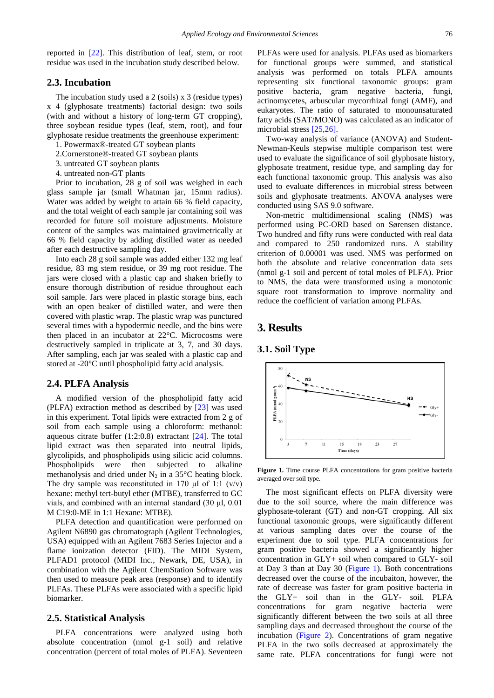reported in [\[22\].](#page-7-15) This distribution of leaf, stem, or root residue was used in the incubation study described below.

#### **2.3. Incubation**

The incubation study used a 2 (soils) x 3 (residue types) x 4 (glyphosate treatments) factorial design: two soils (with and without a history of long-term GT cropping), three soybean residue types (leaf, stem, root), and four glyphosate residue treatments the greenhouse experiment:

- 1. Powermax®-treated GT soybean plants
- 2.Cornerstone®-treated GT soybean plants
- 3. untreated GT soybean plants
- 4. untreated non-GT plants

Prior to incubation, 28 g of soil was weighed in each glass sample jar (small Whatman jar, 15mm radius). Water was added by weight to attain 66 % field capacity, and the total weight of each sample jar containing soil was recorded for future soil moisture adjustments. Moisture content of the samples was maintained gravimetrically at 66 % field capacity by adding distilled water as needed after each destructive sampling day.

Into each 28 g soil sample was added either 132 mg leaf residue, 83 mg stem residue, or 39 mg root residue. The jars were closed with a plastic cap and shaken briefly to ensure thorough distribution of residue throughout each soil sample. Jars were placed in plastic storage bins, each with an open beaker of distilled water, and were then covered with plastic wrap. The plastic wrap was punctured several times with a hypodermic needle, and the bins were then placed in an incubator at 22°C. Microcosms were destructively sampled in triplicate at 3, 7, and 30 days. After sampling, each jar was sealed with a plastic cap and stored at -20°C until phospholipid fatty acid analysis.

#### **2.4. PLFA Analysis**

A modified version of the phospholipid fatty acid (PLFA) extraction method as described by [\[23\]](#page-7-16) was used in this experiment. Total lipids were extracted from 2 g of soil from each sample using a chloroform: methanol: aqueous citrate buffer  $(1:2:0.8)$  extractant  $[24]$ . The total lipid extract was then separated into neutral lipids, glycolipids, and phospholipids using silicic acid columns. Phospholipids were then subjected to alkaline methanolysis and dried under  $N_2$  in a 35°C heating block. The dry sample was reconstituted in 170  $\mu$ l of 1:1 (v/v) hexane: methyl tert-butyl ether (MTBE), transferred to GC vials, and combined with an internal standard (30 μl, 0.01 M C19:0-ME in 1:1 Hexane: MTBE).

PLFA detection and quantification were performed on Agilent N6890 gas chromatograph (Agilent Technologies, USA) equipped with an Agilent 7683 Series Injector and a flame ionization detector (FID). The MIDI System, PLFAD1 protocol (MIDI Inc., Newark, DE, USA), in combination with the Agilent ChemStation Software was then used to measure peak area (response) and to identify PLFAs. These PLFAs were associated with a specific lipid biomarker.

#### **2.5. Statistical Analysis**

PLFA concentrations were analyzed using both absolute concentration (nmol g-1 soil) and relative concentration (percent of total moles of PLFA). Seventeen PLFAs were used for analysis. PLFAs used as biomarkers for functional groups were summed, and statistical analysis was performed on totals PLFA amounts representing six functional taxonomic groups: gram positive bacteria, gram negative bacteria, fungi, actinomycetes, arbuscular mycorrhizal fungi (AMF), and eukaryotes. The ratio of saturated to monounsaturated fatty acids (SAT/MONO) was calculated as an indicator of microbial stres[s \[25,26\].](#page-7-18)

Two-way analysis of variance (ANOVA) and Student-Newman-Keuls stepwise multiple comparison test were used to evaluate the significance of soil glyphosate history, glyphosate treatment, residue type, and sampling day for each functional taxonomic group. This analysis was also used to evaluate differences in microbial stress between soils and glyphosate treatments. ANOVA analyses were conducted using SAS 9.0 software.

Non-metric multidimensional scaling (NMS) was performed using PC-ORD based on Sørensen distance. Two hundred and fifty runs were conducted with real data and compared to 250 randomized runs. A stability criterion of 0.00001 was used. NMS was performed on both the absolute and relative concentration data sets (nmol g-1 soil and percent of total moles of PLFA). Prior to NMS, the data were transformed using a monotonic square root transformation to improve normality and reduce the coefficient of variation among PLFAs.

# **3. Results**

### **3.1. Soil Type**

<span id="page-2-0"></span>

**Figure 1.** Time course PLFA concentrations for gram positive bacteria averaged over soil type.

The most significant effects on PLFA diversity were due to the soil source, where the main difference was glyphosate-tolerant (GT) and non-GT cropping. All six functional taxonomic groups, were significantly different at various sampling dates over the course of the experiment due to soil type. PLFA concentrations for gram positive bacteria showed a significantly higher concentration in GLY+ soil when compared to GLY- soil at Day 3 than at Day 30 [\(Figure 1\)](#page-2-0). Both concentrations decreased over the course of the incubaiton, however, the rate of decrease was faster for gram positive bacteria in the GLY+ soil than in the GLY- soil. PLFA concentrations for gram negative bacteria were significantly different between the two soils at all three sampling days and decreased throughout the course of the incubation [\(Figure 2\)](#page-3-0). Concentrations of gram negative PLFA in the two soils decreased at approximately the same rate. PLFA concentrations for fungi were not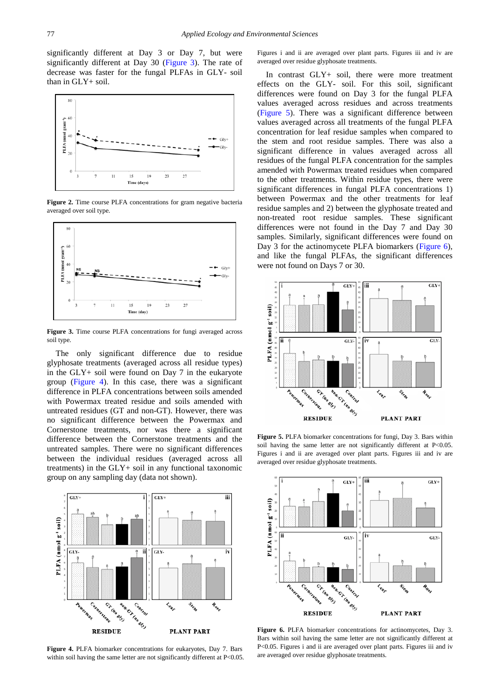significantly different at Day 3 or Day 7, but were significantly different at Day 30 [\(Figure 3\)](#page-3-1). The rate of decrease was faster for the fungal PLFAs in GLY- soil than in GLY+ soil.

<span id="page-3-0"></span>

**Figure 2.** Time course PLFA concentrations for gram negative bacteria averaged over soil type.

<span id="page-3-1"></span>

**Figure 3.** Time course PLFA concentrations for fungi averaged across soil type.

The only significant difference due to residue glyphosate treatments (averaged across all residue types) in the GLY+ soil were found on Day 7 in the eukaryote group [\(Figure 4\)](#page-3-2). In this case, there was a significant difference in PLFA concentrations between soils amended with Powermax treated residue and soils amended with untreated residues (GT and non-GT). However, there was no significant difference between the Powermax and Cornerstone treatments, nor was there a significant difference between the Cornerstone treatments and the untreated samples. There were no significant differences between the individual residues (averaged across all treatments) in the GLY+ soil in any functional taxonomic group on any sampling day (data not shown).

<span id="page-3-2"></span>

**Figure 4.** PLFA biomarker concentrations for eukaryotes, Day 7. Bars within soil having the same letter are not significantly different at P<0.05.

Figures i and ii are averaged over plant parts. Figures iii and iv are averaged over residue glyphosate treatments.

In contrast GLY+ soil, there were more treatment effects on the GLY- soil. For this soil, significant differences were found on Day 3 for the fungal PLFA values averaged across residues and across treatments [\(Figure 5\)](#page-3-3). There was a significant difference between values averaged across all treatments of the fungal PLFA concentration for leaf residue samples when compared to the stem and root residue samples. There was also a significant difference in values averaged across all residues of the fungal PLFA concentration for the samples amended with Powermax treated residues when compared to the other treatments. Within residue types, there were significant differences in fungal PLFA concentrations 1) between Powermax and the other treatments for leaf residue samples and 2) between the glyphosate treated and non-treated root residue samples. These significant differences were not found in the Day 7 and Day 30 samples. Similarly, significant differences were found on Day 3 for the actinomycete PLFA biomarkers [\(Figure 6\)](#page-3-4), and like the fungal PLFAs, the significant differences were not found on Days 7 or 30.

<span id="page-3-3"></span>

**Figure 5.** PLFA biomarker concentrations for fungi, Day 3. Bars within soil having the same letter are not significantly different at P<0.05. Figures i and ii are averaged over plant parts. Figures iii and iv are averaged over residue glyphosate treatments.

<span id="page-3-4"></span>

**Figure 6.** PLFA biomarker concentrations for actinomycetes, Day 3. Bars within soil having the same letter are not significantly different at P<0.05. Figures i and ii are averaged over plant parts. Figures iii and iv are averaged over residue glyphosate treatments.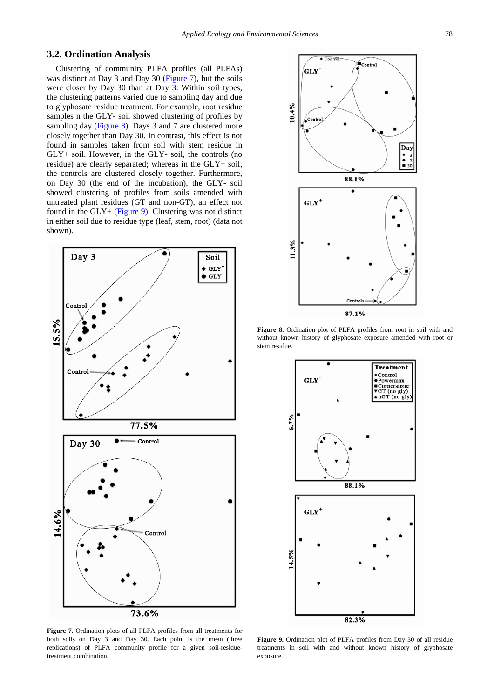## **3.2. Ordination Analysis**

Clustering of community PLFA profiles (all PLFAs) was distinct at Day 3 and Day 30 [\(Figure 7\)](#page-4-0), but the soils were closer by Day 30 than at Day 3. Within soil types, the clustering patterns varied due to sampling day and due to glyphosate residue treatment. For example, root residue samples n the GLY- soil showed clustering of profiles by sampling day [\(Figure 8\)](#page-4-1). Days 3 and 7 are clustered more closely together than Day 30. In contrast, this effect is not found in samples taken from soil with stem residue in GLY+ soil. However, in the GLY- soil, the controls (no residue) are clearly separated; whereas in the GLY+ soil, the controls are clustered closely together. Furthermore, on Day 30 (the end of the incubation), the GLY- soil showed clustering of profiles from soils amended with untreated plant residues (GT and non-GT), an effect not found in the GLY+ [\(Figure 9\)](#page-4-2). Clustering was not distinct in either soil due to residue type (leaf, stem, root) (data not shown).

<span id="page-4-0"></span>

**Figure 7.** Ordination plots of all PLFA profiles from all treatments for both soils on Day 3 and Day 30. Each point is the mean (three replications) of PLFA community profile for a given soil-residuetreatment combination.

<span id="page-4-1"></span>

**Figure 8.** Ordination plot of PLFA profiles from root in soil with and without known history of glyphosate exposure amended with root or stem residue.

<span id="page-4-2"></span>

**Figure 9.** Ordination plot of PLFA profiles from Day 30 of all residue treatments in soil with and without known history of glyphosate exposure.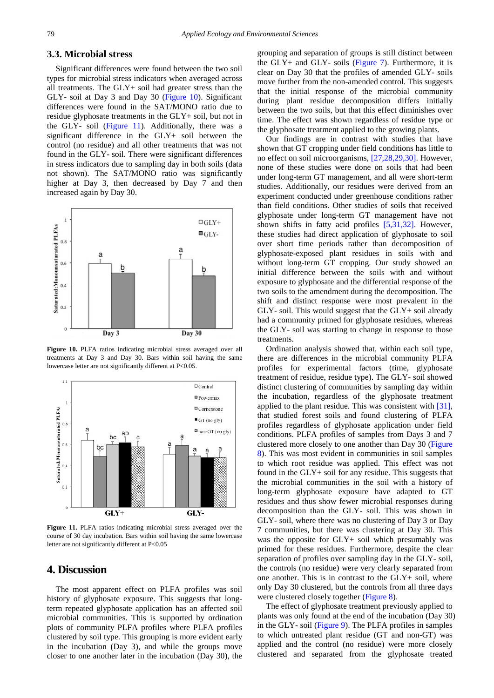### **3.3. Microbial stress**

Significant differences were found between the two soil types for microbial stress indicators when averaged across all treatments. The GLY+ soil had greater stress than the GLY- soil at Day 3 and Day 30 [\(Figure 10\)](#page-5-0). Significant differences were found in the SAT/MONO ratio due to residue glyphosate treatments in the GLY+ soil, but not in the GLY- soil [\(Figure 11\)](#page-5-1). Additionally, there was a significant difference in the GLY+ soil between the control (no residue) and all other treatments that was not found in the GLY- soil. There were significant differences in stress indicators due to sampling day in both soils (data not shown). The SAT/MONO ratio was significantly higher at Day 3, then decreased by Day 7 and then increased again by Day 30.

<span id="page-5-0"></span>

**Figure 10.** PLFA ratios indicating microbial stress averaged over all treatments at Day 3 and Day 30. Bars within soil having the same lowercase letter are not significantly different at P<0.05.

<span id="page-5-1"></span>

**Figure 11.** PLFA ratios indicating microbial stress averaged over the course of 30 day incubation. Bars within soil having the same lowercase letter are not significantly different at P<0.05

# **4. Discussion**

The most apparent effect on PLFA profiles was soil history of glyphosate exposure. This suggests that longterm repeated glyphosate application has an affected soil microbial communities. This is supported by ordination plots of community PLFA profiles where PLFA profiles clustered by soil type. This grouping is more evident early in the incubation (Day 3), and while the groups move closer to one another later in the incubation (Day 30), the

grouping and separation of groups is still distinct between the  $GLY$ + and  $GLY$ - soils [\(Figure 7\)](#page-4-0). Furthermore, it is clear on Day 30 that the profiles of amended GLY- soils move further from the non-amended control. This suggests that the initial response of the microbial community during plant residue decomposition differs initially between the two soils, but that this effect diminishes over time. The effect was shown regardless of residue type or the glyphosate treatment applied to the growing plants.

Our findings are in contrast with studies that have shown that GT cropping under field conditions has little to no effect on soil microorganisms, [\[27,28,29,30\].](#page-7-19) However, none of these studies were done on soils that had been under long-term GT management, and all were short-term studies. Additionally, our residues were derived from an experiment conducted under greenhouse conditions rather than field conditions. Other studies of soils that received glyphosate under long-term GT management have not shown shifts in fatty acid profiles [\[5,31,32\].](#page-7-4) However, these studies had direct application of glyphosate to soil over short time periods rather than decomposition of glyphosate-exposed plant residues in soils with and without long-term GT cropping. Our study showed an initial difference between the soils with and without exposure to glyphosate and the differential response of the two soils to the amendment during the decomposition. The shift and distinct response were most prevalent in the GLY- soil. This would suggest that the GLY+ soil already had a community primed for glyphosate residues, whereas the GLY- soil was starting to change in response to those treatments.

Ordination analysis showed that, within each soil type, there are differences in the microbial community PLFA profiles for experimental factors (time, glyphosate treatment of residue, residue type). The GLY- soil showed distinct clustering of communities by sampling day within the incubation, regardless of the glyphosate treatment applied to the plant residue. This was consistent with [\[31\],](#page-7-20) that studied forest soils and found clustering of PLFA profiles regardless of glyphosate application under field conditions. PLFA profiles of samples from Days 3 and 7 clustered more closely to one another than Day 30 [\(Figure](#page-4-1)  [8\)](#page-4-1). This was most evident in communities in soil samples to which root residue was applied. This effect was not found in the GLY+ soil for any residue. This suggests that the microbial communities in the soil with a history of long-term glyphosate exposure have adapted to GT residues and thus show fewer microbial responses during decomposition than the GLY- soil. This was shown in GLY- soil, where there was no clustering of Day 3 or Day 7 communities, but there was clustering at Day 30. This was the opposite for GLY+ soil which presumably was primed for these residues. Furthermore, despite the clear separation of profiles over sampling day in the GLY- soil, the controls (no residue) were very clearly separated from one another. This is in contrast to the GLY+ soil, where only Day 30 clustered, but the controls from all three days were clustered closely together [\(Figure 8\)](#page-4-1).

The effect of glyphosate treatment previously applied to plants was only found at the end of the incubation (Day 30) in the GLY- soil [\(Figure 9\)](#page-4-2). The PLFA profiles in samples to which untreated plant residue (GT and non-GT) was applied and the control (no residue) were more closely clustered and separated from the glyphosate treated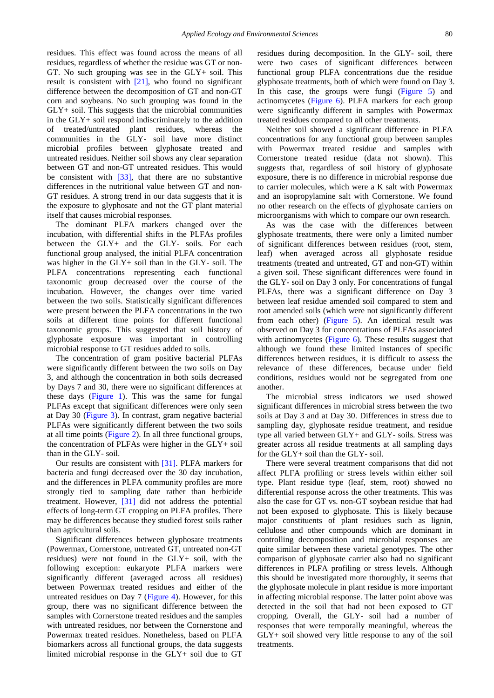residues. This effect was found across the means of all residues, regardless of whether the residue was GT or non-GT. No such grouping was see in the GLY+ soil. This result is consistent with [\[21\],](#page-7-14) who found no significant difference between the decomposition of GT and non-GT corn and soybeans. No such grouping was found in the GLY+ soil. This suggests that the microbial communities in the GLY+ soil respond indiscriminately to the addition of treated/untreated plant residues, whereas the communities in the GLY- soil have more distinct microbial profiles between glyphosate treated and untreated residues. Neither soil shows any clear separation between GT and non-GT untreated residues. This would be consistent with  $\left[33\right]$ , that there are no substantive differences in the nutritional value between GT and non-GT residues. A strong trend in our data suggests that it is the exposure to glyphosate and not the GT plant material itself that causes microbial responses.

The dominant PLFA markers changed over the incubation, with differential shifts in the PLFAs profiles between the GLY+ and the GLY- soils. For each functional group analysed, the initial PLFA concentration was higher in the GLY+ soil than in the GLY- soil. The PLFA concentrations representing each functional taxonomic group decreased over the course of the incubation. However, the changes over time varied between the two soils. Statistically significant differences were present between the PLFA concentrations in the two soils at different time points for different functional taxonomic groups. This suggested that soil history of glyphosate exposure was important in controlling microbial response to GT residues added to soils.

The concentration of gram positive bacterial PLFAs were significantly different between the two soils on Day 3, and although the concentration in both soils decreased by Days 7 and 30, there were no significant differences at these days [\(Figure 1\)](#page-2-0). This was the same for fungal PLFAs except that significant differences were only seen at Day 30 [\(Figure 3\)](#page-3-1). In contrast, gram negative bacterial PLFAs were significantly different between the two soils at all time points [\(Figure 2\)](#page-3-0). In all three functional groups, the concentration of PLFAs were higher in the GLY+ soil than in the GLY- soil.

Our results are consistent with [\[31\].](#page-7-20) PLFA markers for bacteria and fungi decreased over the 30 day incubation, and the differences in PLFA community profiles are more strongly tied to sampling date rather than herbicide treatment. However, [\[31\]](#page-7-20) did not address the potential effects of long-term GT cropping on PLFA profiles. There may be differences because they studied forest soils rather than agricultural soils.

Significant differences between glyphosate treatments (Powermax, Cornerstone, untreated GT, untreated non-GT residues) were not found in the GLY+ soil, with the following exception: eukaryote PLFA markers were significantly different (averaged across all residues) between Powermax treated residues and either of the untreated residues on Day 7 [\(Figure 4\)](#page-3-2). However, for this group, there was no significant difference between the samples with Cornerstone treated residues and the samples with untreated residues, nor between the Cornerstone and Powermax treated residues. Nonetheless, based on PLFA biomarkers across all functional groups, the data suggests limited microbial response in the GLY+ soil due to GT residues during decomposition. In the GLY- soil, there were two cases of significant differences between functional group PLFA concentrations due the residue glyphosate treatments, both of which were found on Day 3. In this case, the groups were fungi [\(Figure 5\)](#page-3-3) and actinomycetes [\(Figure 6\)](#page-3-4). PLFA markers for each group were significantly different in samples with Powermax treated residues compared to all other treatments.

Neither soil showed a significant difference in PLFA concentrations for any functional group between samples with Powermax treated residue and samples with Cornerstone treated residue (data not shown). This suggests that, regardless of soil history of glyphosate exposure, there is no difference in microbial response due to carrier molecules, which were a K salt with Powermax and an isopropylamine salt with Cornerstone. We found no other research on the effects of glyphosate carriers on microorganisms with which to compare our own research.

As was the case with the differences between glyphosate treatments, there were only a limited number of significant differences between residues (root, stem, leaf) when averaged across all glyphosate residue treatments (treated and untreated, GT and non-GT) within a given soil. These significant differences were found in the GLY- soil on Day 3 only. For concentrations of fungal PLFAs, there was a significant difference on Day 3 between leaf residue amended soil compared to stem and root amended soils (which were not significantly different from each other) [\(Figure 5\)](#page-3-3). An identical result was observed on Day 3 for concentrations of PLFAs associated with actinomycetes [\(Figure 6\)](#page-3-4). These results suggest that although we found these limited instances of specific differences between residues, it is difficult to assess the relevance of these differences, because under field conditions, residues would not be segregated from one another.

The microbial stress indicators we used showed significant differences in microbial stress between the two soils at Day 3 and at Day 30. Differences in stress due to sampling day, glyphosate residue treatment, and residue type all varied between GLY+ and GLY- soils. Stress was greater across all residue treatments at all sampling days for the GLY+ soil than the GLY- soil.

There were several treatment comparisons that did not affect PLFA profiling or stress levels within either soil type. Plant residue type (leaf, stem, root) showed no differential response across the other treatments. This was also the case for GT vs. non-GT soybean residue that had not been exposed to glyphosate. This is likely because major constituents of plant residues such as lignin, cellulose and other compounds which are dominant in controlling decomposition and microbial responses are quite similar between these varietal genotypes. The other comparison of glyphosate carrier also had no significant differences in PLFA profiling or stress levels. Although this should be investigated more thoroughly, it seems that the glyphosate molecule in plant residue is more important in affecting microbial response. The latter point above was detected in the soil that had not been exposed to GT cropping. Overall, the GLY- soil had a number of responses that were temporally meaningful, whereas the GLY+ soil showed very little response to any of the soil treatments.